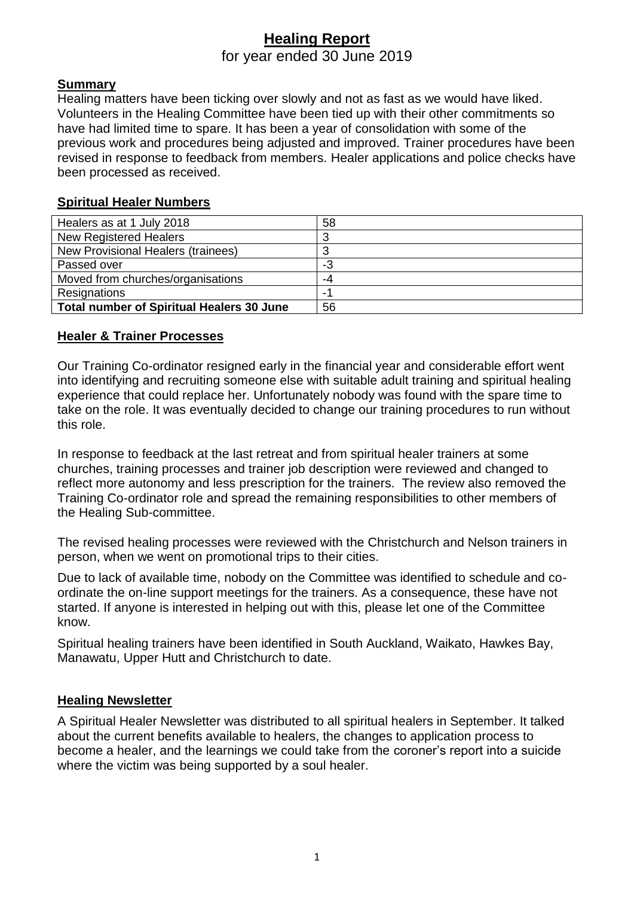# **Healing Report**

for year ended 30 June 2019

### **Summary**

Healing matters have been ticking over slowly and not as fast as we would have liked. Volunteers in the Healing Committee have been tied up with their other commitments so have had limited time to spare. It has been a year of consolidation with some of the previous work and procedures being adjusted and improved. Trainer procedures have been revised in response to feedback from members. Healer applications and police checks have been processed as received.

#### **Spiritual Healer Numbers**

| Healers as at 1 July 2018                        | 58 |
|--------------------------------------------------|----|
| <b>New Registered Healers</b>                    |    |
| New Provisional Healers (trainees)               |    |
| Passed over                                      | -3 |
| Moved from churches/organisations                | -4 |
| Resignations                                     | ۰  |
| <b>Total number of Spiritual Healers 30 June</b> | 56 |

### **Healer & Trainer Processes**

Our Training Co-ordinator resigned early in the financial year and considerable effort went into identifying and recruiting someone else with suitable adult training and spiritual healing experience that could replace her. Unfortunately nobody was found with the spare time to take on the role. It was eventually decided to change our training procedures to run without this role.

In response to feedback at the last retreat and from spiritual healer trainers at some churches, training processes and trainer job description were reviewed and changed to reflect more autonomy and less prescription for the trainers. The review also removed the Training Co-ordinator role and spread the remaining responsibilities to other members of the Healing Sub-committee.

The revised healing processes were reviewed with the Christchurch and Nelson trainers in person, when we went on promotional trips to their cities.

Due to lack of available time, nobody on the Committee was identified to schedule and coordinate the on-line support meetings for the trainers. As a consequence, these have not started. If anyone is interested in helping out with this, please let one of the Committee know.

Spiritual healing trainers have been identified in South Auckland, Waikato, Hawkes Bay, Manawatu, Upper Hutt and Christchurch to date.

#### **Healing Newsletter**

A Spiritual Healer Newsletter was distributed to all spiritual healers in September. It talked about the current benefits available to healers, the changes to application process to become a healer, and the learnings we could take from the coroner's report into a suicide where the victim was being supported by a soul healer.